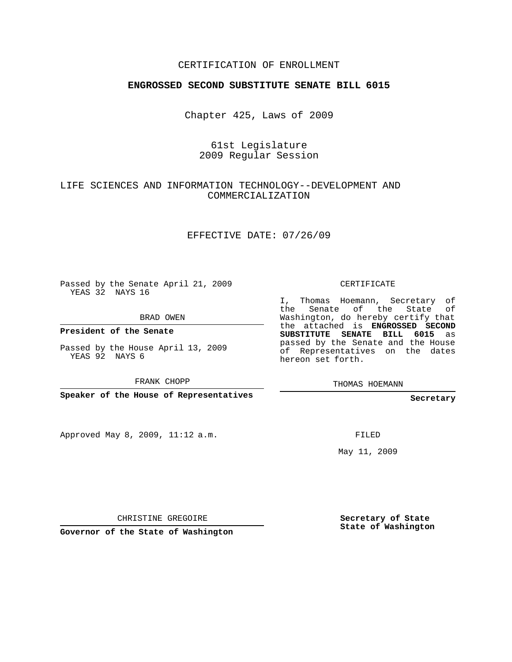## CERTIFICATION OF ENROLLMENT

#### **ENGROSSED SECOND SUBSTITUTE SENATE BILL 6015**

Chapter 425, Laws of 2009

#### 61st Legislature 2009 Regular Session

## LIFE SCIENCES AND INFORMATION TECHNOLOGY--DEVELOPMENT AND COMMERCIALIZATION

#### EFFECTIVE DATE: 07/26/09

Passed by the Senate April 21, 2009 YEAS 32 NAYS 16

BRAD OWEN

**President of the Senate**

Passed by the House April 13, 2009 YEAS 92 NAYS 6

FRANK CHOPP

**Speaker of the House of Representatives**

Approved May 8, 2009, 11:12 a.m.

CERTIFICATE

I, Thomas Hoemann, Secretary of the Senate of the State of Washington, do hereby certify that the attached is **ENGROSSED SECOND SUBSTITUTE SENATE BILL 6015** as passed by the Senate and the House of Representatives on the dates hereon set forth.

THOMAS HOEMANN

**Secretary**

FILED

May 11, 2009

CHRISTINE GREGOIRE

**Governor of the State of Washington**

**Secretary of State State of Washington**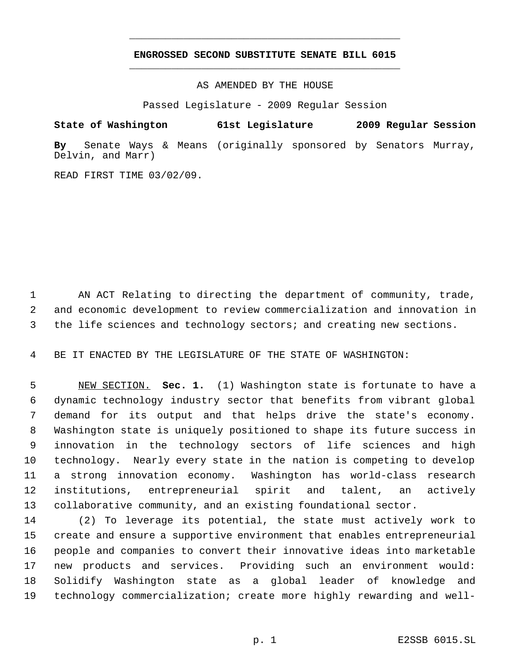# **ENGROSSED SECOND SUBSTITUTE SENATE BILL 6015** \_\_\_\_\_\_\_\_\_\_\_\_\_\_\_\_\_\_\_\_\_\_\_\_\_\_\_\_\_\_\_\_\_\_\_\_\_\_\_\_\_\_\_\_\_

\_\_\_\_\_\_\_\_\_\_\_\_\_\_\_\_\_\_\_\_\_\_\_\_\_\_\_\_\_\_\_\_\_\_\_\_\_\_\_\_\_\_\_\_\_

AS AMENDED BY THE HOUSE

Passed Legislature - 2009 Regular Session

**State of Washington 61st Legislature 2009 Regular Session**

**By** Senate Ways & Means (originally sponsored by Senators Murray, Delvin, and Marr)

READ FIRST TIME 03/02/09.

 AN ACT Relating to directing the department of community, trade, and economic development to review commercialization and innovation in the life sciences and technology sectors; and creating new sections.

BE IT ENACTED BY THE LEGISLATURE OF THE STATE OF WASHINGTON:

 NEW SECTION. **Sec. 1.** (1) Washington state is fortunate to have a dynamic technology industry sector that benefits from vibrant global demand for its output and that helps drive the state's economy. Washington state is uniquely positioned to shape its future success in innovation in the technology sectors of life sciences and high technology. Nearly every state in the nation is competing to develop a strong innovation economy. Washington has world-class research institutions, entrepreneurial spirit and talent, an actively collaborative community, and an existing foundational sector.

 (2) To leverage its potential, the state must actively work to create and ensure a supportive environment that enables entrepreneurial people and companies to convert their innovative ideas into marketable new products and services. Providing such an environment would: Solidify Washington state as a global leader of knowledge and technology commercialization; create more highly rewarding and well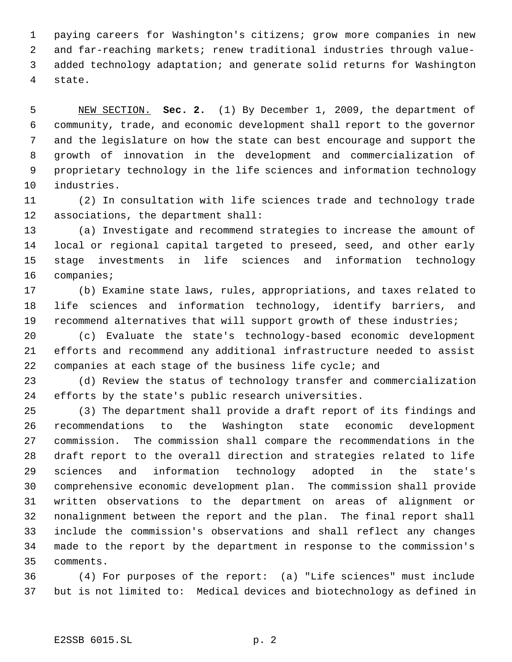paying careers for Washington's citizens; grow more companies in new and far-reaching markets; renew traditional industries through value- added technology adaptation; and generate solid returns for Washington state.

 NEW SECTION. **Sec. 2.** (1) By December 1, 2009, the department of community, trade, and economic development shall report to the governor and the legislature on how the state can best encourage and support the growth of innovation in the development and commercialization of proprietary technology in the life sciences and information technology industries.

 (2) In consultation with life sciences trade and technology trade associations, the department shall:

 (a) Investigate and recommend strategies to increase the amount of local or regional capital targeted to preseed, seed, and other early stage investments in life sciences and information technology companies;

 (b) Examine state laws, rules, appropriations, and taxes related to life sciences and information technology, identify barriers, and recommend alternatives that will support growth of these industries;

 (c) Evaluate the state's technology-based economic development efforts and recommend any additional infrastructure needed to assist companies at each stage of the business life cycle; and

 (d) Review the status of technology transfer and commercialization efforts by the state's public research universities.

 (3) The department shall provide a draft report of its findings and recommendations to the Washington state economic development commission. The commission shall compare the recommendations in the draft report to the overall direction and strategies related to life sciences and information technology adopted in the state's comprehensive economic development plan. The commission shall provide written observations to the department on areas of alignment or nonalignment between the report and the plan. The final report shall include the commission's observations and shall reflect any changes made to the report by the department in response to the commission's comments.

 (4) For purposes of the report: (a) "Life sciences" must include but is not limited to: Medical devices and biotechnology as defined in